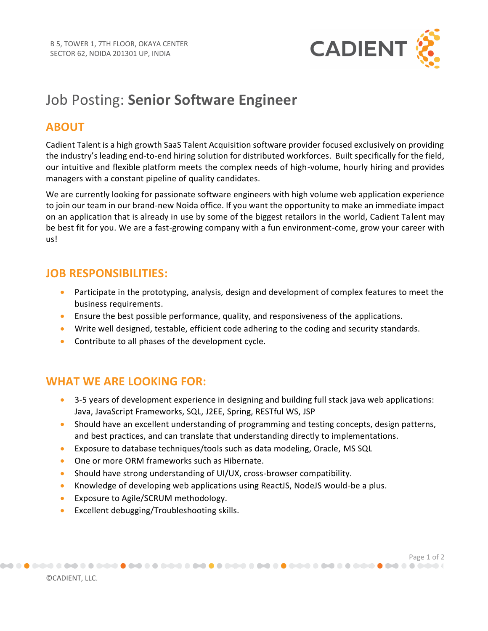

# Job Posting: **Senior Software Engineer**

#### **ABOUT**

Cadient Talent is a high growth SaaS Talent Acquisition software provider focused exclusively on providing the industry's leading end-to-end hiring solution for distributed workforces. Built specifically for the field, our intuitive and flexible platform meets the complex needs of high-volume, hourly hiring and provides managers with a constant pipeline of quality candidates.

We are currently looking for passionate software engineers with high volume web application experience to join our team in our brand-new Noida office. If you want the opportunity to make an immediate impact on an application that is already in use by some of the biggest retailors in the world, Cadient Talent may be best fit for you. We are a fast-growing company with a fun environment-come, grow your career with us!

#### **JOB RESPONSIBILITIES:**

- Participate in the prototyping, analysis, design and development of complex features to meet the business requirements.
- Ensure the best possible performance, quality, and responsiveness of the applications.
- Write well designed, testable, efficient code adhering to the coding and security standards.
- Contribute to all phases of the development cycle.

## **WHAT WE ARE LOOKING FOR:**

- 3-5 years of development experience in designing and building full stack java web applications: Java, JavaScript Frameworks, SQL, J2EE, Spring, RESTful WS, JSP
- Should have an excellent understanding of programming and testing concepts, design patterns, and best practices, and can translate that understanding directly to implementations.

Page 1 of 2<br>) تحصین که که هم **که شرکت که که هم که شرکت که که شرکت که هم که هم که هم که که شرکت که هم که هم که هم که شرکت ک** 

- Exposure to database techniques/tools such as data modeling, Oracle, MS SQL
- One or more ORM frameworks such as Hibernate.
- Should have strong understanding of UI/UX, cross-browser compatibility.
- Knowledge of developing web applications using ReactJS, NodeJS would-be a plus.
- Exposure to Agile/SCRUM methodology.
- Excellent debugging/Troubleshooting skills.